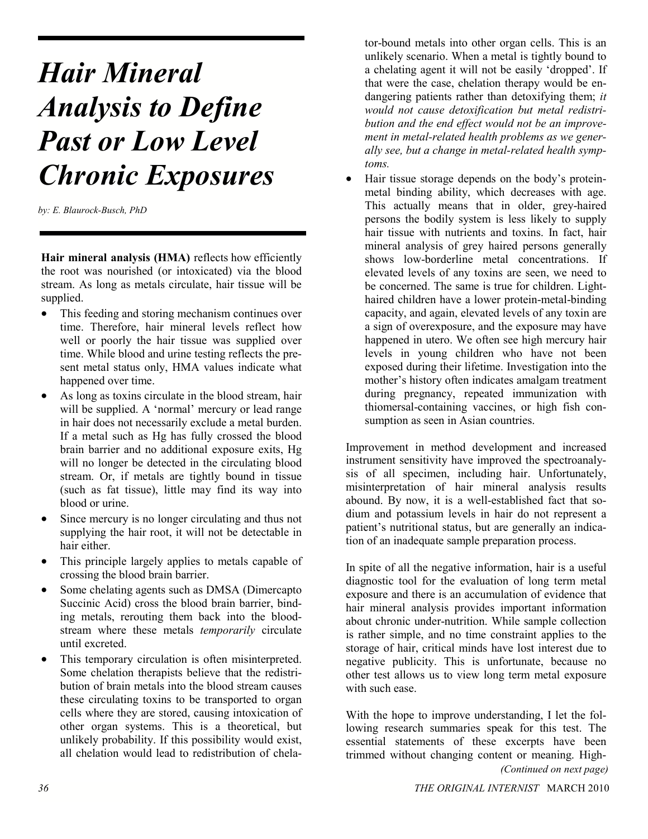# **Hair Mineral Analysis to Define Past or Low Level Chronic Exposures**

by: E. Blaurock-Busch, PhD

Hair mineral analysis (HMA) reflects how efficiently the root was nourished (or intoxicated) via the blood stream. As long as metals circulate, hair tissue will be supplied.

- This feeding and storing mechanism continues over time. Therefore, hair mineral levels reflect how well or poorly the hair tissue was supplied over time. While blood and urine testing reflects the pre sent metal status only, HMA values indicate what happened over time.
- As long as toxins circulate in the blood stream, hair will be supplied. A 'normal' mercury or lead range in hair does not necessarily exclude a metal burden. If a metal such as Hg has fully crossed the blood brain barrier and no additional exposure exits, Hg will no longer be detected in the circulating blood stream. Or, if metals are tightly bound in tissue (such as fat tissue), little may find its way into blood or urine.
- Since mercury is no longer circulating and thus not supplying the hair root, it will not be detectable in hair either.
- This principle largely applies to metals capable of crossing the blood brain barrier.
- Some chelating agents such as DMSA (Dimercapto Succinic Acid) cross the blood brain barrier, bind ing metals, rerouting them back into the blood stream where these metals *temporarily* circulate until excreted.
- This temporary circulation is often misinterpreted. Some chelation therapists believe that the redistri bution of brain metals into the blood stream causes these circulating toxins to be transported to organ cells where they are stored, causing intoxication of other organ systems. This is a theoretical, but unlikely probability. If this possibility would exist, all chelation would lead to redistribution of chela

tor-bound metals into other organ cells. This is an unlikely scenario. When a metal is tightly bound to a chelating agent it will not be easily 'dropped'. If that were the case, chelation therapy would be en dangering patients rather than detoxifying them; *it* would not cause detoxification but metal redistribution and the end effect would not be an improvement in metal-related health problems as we generally see, but a change in metal-related health symptoms.

 Hair tissue storage depends on the body's protein metal binding ability, which decreases with age. This actually means that in older, greyhaired persons the bodily system is less likely to supply hair tissue with nutrients and toxins. In fact, hair mineral analysis of grey haired persons generally shows low-borderline metal concentrations. If elevated levels of any toxins are seen, we need to be concerned. The same is true for children. Lighthaired children have a lower protein-metal-binding capacity, and again, elevated levels of any toxin are a sign of overexposure, and the exposure may have happened in utero. We often see high mercury hair levels in young children who have not been exposed during their lifetime. Investigation into the mother's history often indicates amalgam treatment during pregnancy, repeated immunization with thiomersal-containing vaccines, or high fish consumption as seen in Asian countries.

Improvement in method development and increased instrument sensitivity have improved the spectroanaly sis of all specimen, including hair. Unfortunately, misinterpretation of hair mineral analysis results abound. By now, it is a well-established fact that sodium and potassium levels in hair do not represent a patient's nutritional status, but are generally an indica tion of an inadequate sample preparation process.

In spite of all the negative information, hair is a useful diagnostic tool for the evaluation of long term metal exposure and there is an accumulation of evidence that hair mineral analysis provides important information about chronic under-nutrition. While sample collection is rather simple, and no time constraint applies to the storage of hair, critical minds have lost interest due to negative publicity. This is unfortunate, because no other test allows us to view long term metal exposure with such ease.

With the hope to improve understanding, I let the fol lowing research summaries speak for this test. The essential statements of these excerpts have been trimmed without changing content or meaning. High (Continued on next page)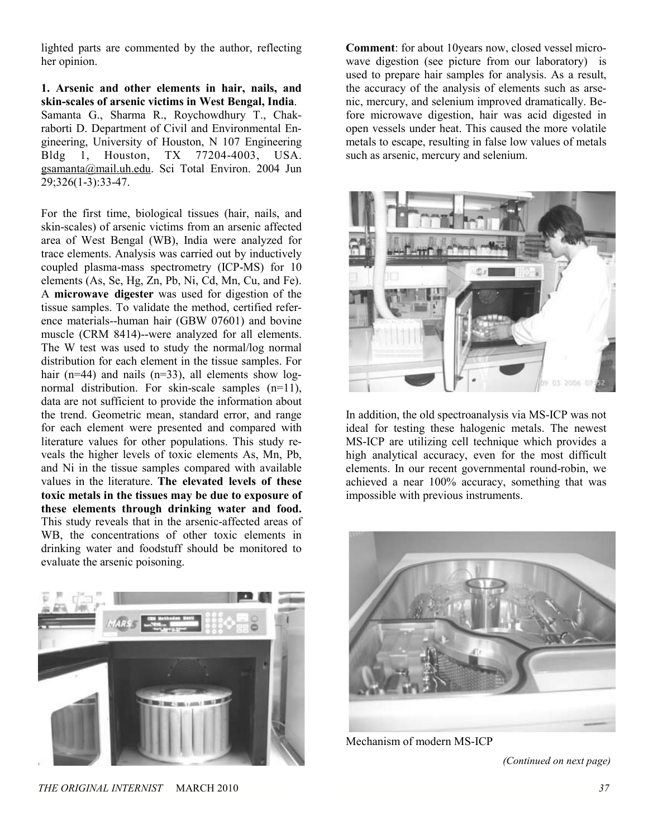lighted parts are commented by the author, reflecting her opinion.

1. Arsenic and other elements in hair, nails, and skin-scales of arsenic victims in West Bengal, India. Samanta G., Sharma R., Roychowdhury T., Chak raborti D. Department of Civil and Environmental En gineering, University of Houston, N 107 Engineering Bldg 1, Houston, TX 77204-4003, USA. gsamanta@mail.uh.edu. Sci Total Environ. 2004 Jun 29;326(1-3):33-47.

For the first time, biological tissues (hair, nails, and skin-scales) of arsenic victims from an arsenic affected area of West Bengal (WB), India were analyzed for trace elements. Analysis was carried out by inductively coupled plasma-mass spectrometry (ICP-MS) for 10 elements (As, Se, Hg, Zn, Pb, Ni, Cd, Mn, Cu, and Fe). A microwave digester was used for digestion of the tissue samples. To validate the method, certified refer ence materials--human hair (GBW 07601) and bovine muscle (CRM 8414)--were analyzed for all elements. The W test was used to study the normal/log normal distribution for each element in the tissue samples. For hair ( $n=44$ ) and nails ( $n=33$ ), all elements show lognormal distribution. For skin-scale samples  $(n=11)$ , data are not sufficient to provide the information about the trend. Geometric mean, standard error, and range for each element were presented and compared with literature values for other populations. This study re veals the higher levels of toxic elements As, Mn, Pb, and Ni in the tissue samples compared with available values in the literature. The elevated levels of these toxic metals in the tissues may be due to exposure of these elements through drinking water and food. This study reveals that in the arsenic-affected areas of WB, the concentrations of other toxic elements in drinking water and foodstuff should be monitored to evaluate the arsenic poisoning.



**Comment**: for about 10years now, closed vessel microwave digestion (see picture from our laboratory) is used to prepare hair samples for analysis. As a result, the accuracy of the analysis of elements such as arse nic, mercury, and selenium improved dramatically. Be fore microwave digestion, hair was acid digested in open vessels under heat. This caused the more volatile metals to escape, resulting in false low values of metals such as arsenic, mercury and selenium.



In addition, the old spectroanalysis via MS-ICP was not ideal for testing these halogenic metals. The newest MS-ICP are utilizing cell technique which provides a high analytical accuracy, even for the most difficult elements. In our recent governmental round-robin, we achieved a near 100% accuracy, something that was impossible with previous instruments.



Mechanism of modern MS-ICP

(Continued on next page)

THE ORIGINAL INTERNIST MARCH 2010 37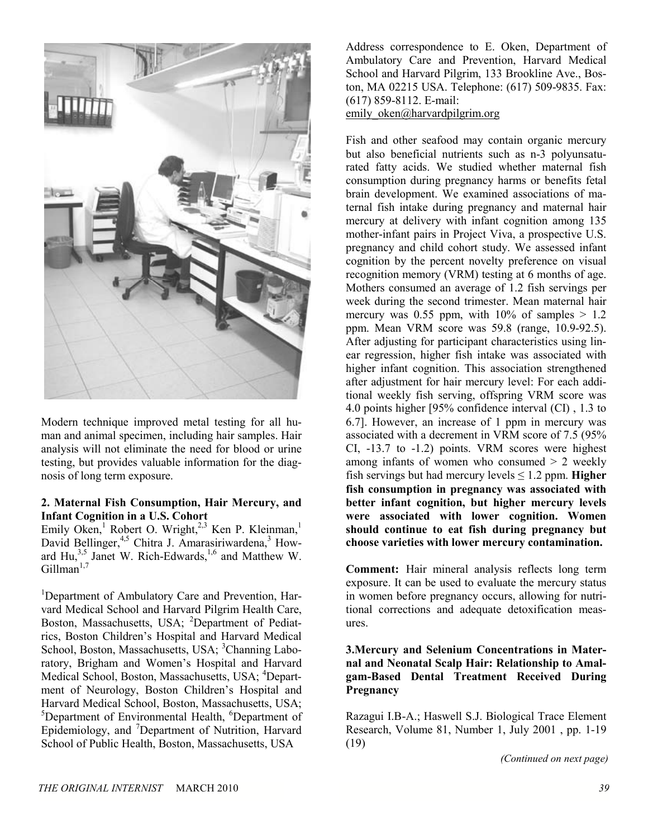

Modern technique improved metal testing for all hu man and animal specimen, including hair samples. Hair analysis will not eliminate the need for blood or urine testing, but provides valuable information for the diag nosis of long term exposure.

#### 2. Maternal Fish Consumption, Hair Mercury, and **Infant Cognition in a U.S. Cohort**

Emily Oken,<sup>1</sup> Robert O. Wright,<sup>2,3</sup> Ken P. Kleinman,<sup>1</sup> David Bellinger,<sup>4,5</sup> Chitra J. Amarasiriwardena,<sup>3</sup> Howard  $\text{Hu}^{3,5}$  Janet W. Rich-Edwards,<sup>1,6</sup> and Matthew W.  $Gillman<sup>1,7</sup>$ 

<sup>1</sup>Department of Ambulatory Care and Prevention, Harvard Medical School and Harvard Pilgrim Health Care, Boston, Massachusetts, USA; <sup>2</sup>Department of Pediatrics, Boston Children's Hospital and Harvard Medical School, Boston, Massachusetts, USA; <sup>3</sup>Channing Laboratory, Brigham and Women's Hospital and Harvard Medical School, Boston, Massachusetts, USA; <sup>4</sup>Department of Neurology, Boston Children's Hospital and Harvard Medical School, Boston, Massachusetts, USA; <sup>5</sup>Department of Environmental Health, <sup>6</sup>Department of Epidemiology, and <sup>7</sup>Department of Nutrition, Harvard School of Public Health, Boston, Massachusetts, USA

Address correspondence to E. Oken, Department of Ambulatory Care and Prevention, Harvard Medical School and Harvard Pilgrim, 133 Brookline Ave., Bos ton, MA 02215 USA. Telephone: (617) 509-9835. Fax: (617) 859-8112. E-mail:

emily oken@harvardpilgrim.org

Fish and other seafood may contain organic mercury but also beneficial nutrients such as n-3 polyunsaturated fatty acids. We studied whether maternal fish consumption during pregnancy harms or benefits fetal brain development. We examined associations of ma ternal fish intake during pregnancy and maternal hair mercury at delivery with infant cognition among 135 mother-infant pairs in Project Viva, a prospective U.S. pregnancy and child cohort study. We assessed infant cognition by the percent novelty preference on visual recognition memory (VRM) testing at 6 months of age. Mothers consumed an average of 1.2 fish servings per week during the second trimester. Mean maternal hair mercury was 0.55 ppm, with  $10\%$  of samples  $> 1.2$ ppm. Mean VRM score was  $59.8$  (range,  $10.9-92.5$ ). After adjusting for participant characteristics using lin ear regression, higher fish intake was associated with higher infant cognition. This association strengthened after adjustment for hair mercury level: For each addi tional weekly fish serving, offspring VRM score was 4.0 points higher [95% confidence interval (CI) , 1.3 to 6.7]. However, an increase of 1 ppm in mercury was associated with a decrement in VRM score of 7.5 (95% CI, 13.7 to 1.2) points. VRM scores were highest among infants of women who consumed  $> 2$  weekly fish servings but had mercury levels  $\leq 1.2$  ppm. **Higher** fish consumption in pregnancy was associated with better infant cognition, but higher mercury levels were associated with lower cognition. Women should continue to eat fish during pregnancy but choose varieties with lower mercury contamination.

Comment: Hair mineral analysis reflects long term exposure. It can be used to evaluate the mercury status in women before pregnancy occurs, allowing for nutri tional corrections and adequate detoxification meas ures.

## **3. Mercury and Selenium Concentrations in Mater**nal and Neonatal Scalp Hair: Relationship to Amalgam-Based Dental Treatment Received During Pregnancy

Razagui I.B-A.; Haswell S.J. Biological Trace Element Research, Volume 81, Number 1, July  $2001$ , pp. 1-19 (19)

(Continued on next page)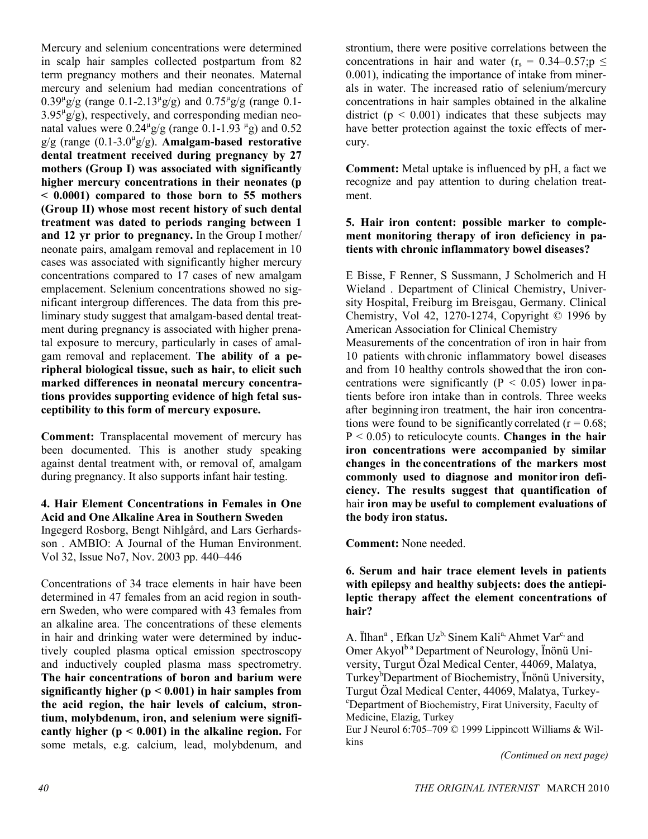Mercury and selenium concentrations were determined in scalp hair samples collected postpartum from 82 term pregnancy mothers and their neonates. Maternal mercury and selenium had median concentrations of  $0.39^{\mu}g/g$  (range 0.1-2.13<sup> $\mu$ </sup>g/g) and 0.75<sup> $\mu$ </sup>g/g (range 0.1- $3.95<sup>\mu</sup>g/g$ , respectively, and corresponding median neonatal values were  $0.24^{\mu}g/g$  (range  $0.1$ -1.93  $^{\mu}g$ ) and 0.52  $g/g$  (range  $(0.1\n-3.0<sup>\mu</sup>g/g)$ . **Amalgam-based restorative** dental treatment received during pregnancy by 27 mothers (Group I) was associated with significantly higher mercury concentrations in their neonates (p  $< 0.0001$  compared to those born to 55 mothers (Group II) whose most recent history of such dental treatment was dated to periods ranging between 1 and 12 yr prior to pregnancy. In the Group I mother/ neonate pairs, amalgam removal and replacement in 10 cases was associated with significantly higher mercury concentrations compared to 17 cases of new amalgam emplacement. Selenium concentrations showed no sig nificant intergroup differences. The data from this pre liminary study suggest that amalgam-based dental treatment during pregnancy is associated with higher prena tal exposure to mercury, particularly in cases of amal gam removal and replacement. The ability of a peripheral biological tissue, such as hair, to elicit such marked differences in neonatal mercury concentrations provides supporting evidence of high fetal susceptibility to this form of mercury exposure.

Comment: Transplacental movement of mercury has been documented. This is another study speaking against dental treatment with, or removal of, amalgam during pregnancy. It also supports infant hair testing.

#### 4. Hair Element Concentrations in Females in One **Acid and One Alkaline Area in Southern Sweden** Ingegerd Rosborg, Bengt Nihlgård, and Lars Gerhards son . AMBIO: A Journal of the Human Environment. Vol 32, Issue No7, Nov. 2003 pp. 440–446

Concentrations of 34 trace elements in hair have been determined in 47 females from an acid region in south ern Sweden, who were compared with 43 females from an alkaline area. The concentrations of these elements in hair and drinking water were determined by induc tively coupled plasma optical emission spectroscopy and inductively coupled plasma mass spectrometry. The hair concentrations of boron and barium were significantly higher ( $p < 0.001$ ) in hair samples from the acid region, the hair levels of calcium, strontium, molybdenum, iron, and selenium were significantly higher  $(p < 0.001)$  in the alkaline region. For some metals, e.g. calcium, lead, molybdenum, and

strontium, there were positive correlations between the concentrations in hair and water ( $r_s = 0.34{\text{-}}0.57$ ; p  $\leq$ 0.001), indicating the importance of intake from miner als in water. The increased ratio of selenium/mercury concentrations in hair samples obtained in the alkaline district ( $p < 0.001$ ) indicates that these subjects may have better protection against the toxic effects of mer cury.

Comment: Metal uptake is influenced by pH, a fact we recognize and pay attention to during chelation treat ment.

#### **5. Hair iron content: possible marker to comple**ment monitoring therapy of iron deficiency in patients with chronic inflammatory bowel diseases?

E Bisse, F Renner, S Sussmann, J Scholmerich and H Wieland . Department of Clinical Chemistry, Univer sity Hospital, Freiburg im Breisgau, Germany. Clinical Chemistry, Vol 42, 1270-1274, Copyright  $\odot$  1996 by American Association for Clinical Chemistry

Measurements of the concentration of iron in hair from 10 patients with chronic inflammatory bowel diseases and from 10 healthy controls showed that the iron con centrations were significantly ( $P < 0.05$ ) lower in patients before iron intake than in controls. Three weeks after beginning iron treatment, the hair iron concentra tions were found to be significantly correlated ( $r = 0.68$ ;  $P < 0.05$ ) to reticulocyte counts. **Changes in the hair** iron concentrations were accompanied by similar changes in the concentrations of the markers most commonly used to diagnose and monitor iron deficiency. The results suggest that quantification of hair iron may be useful to complement evaluations of the body iron status.

Comment: None needed.

## **6. Serum and hair trace element levels in patients** with epilepsy and healthy subjects: does the antiepileptic therapy affect the element concentrations of hair?

A. Ïlhan<sup>a</sup>, Efkan Uz<sup>b,</sup> Sinem Kali<sup>a,</sup> Ahmet Var<sup>c,</sup> and Omer Akyol<sup>b a</sup> Department of Neurology, Înönü University, Turgut Özal Medical Center, 44069, Malatya, Turkey<sup>b</sup>Department of Biochemistry, Ïnönü University, Turgut Özal Medical Center, 44069, Malatya, Turkey c Department of Biochemistry, Firat University, Faculty of Medicine, Elazig, Turkey

Eur J Neurol 6:705–709 © 1999 Lippincott Williams & Wil kins

(Continued on next page)